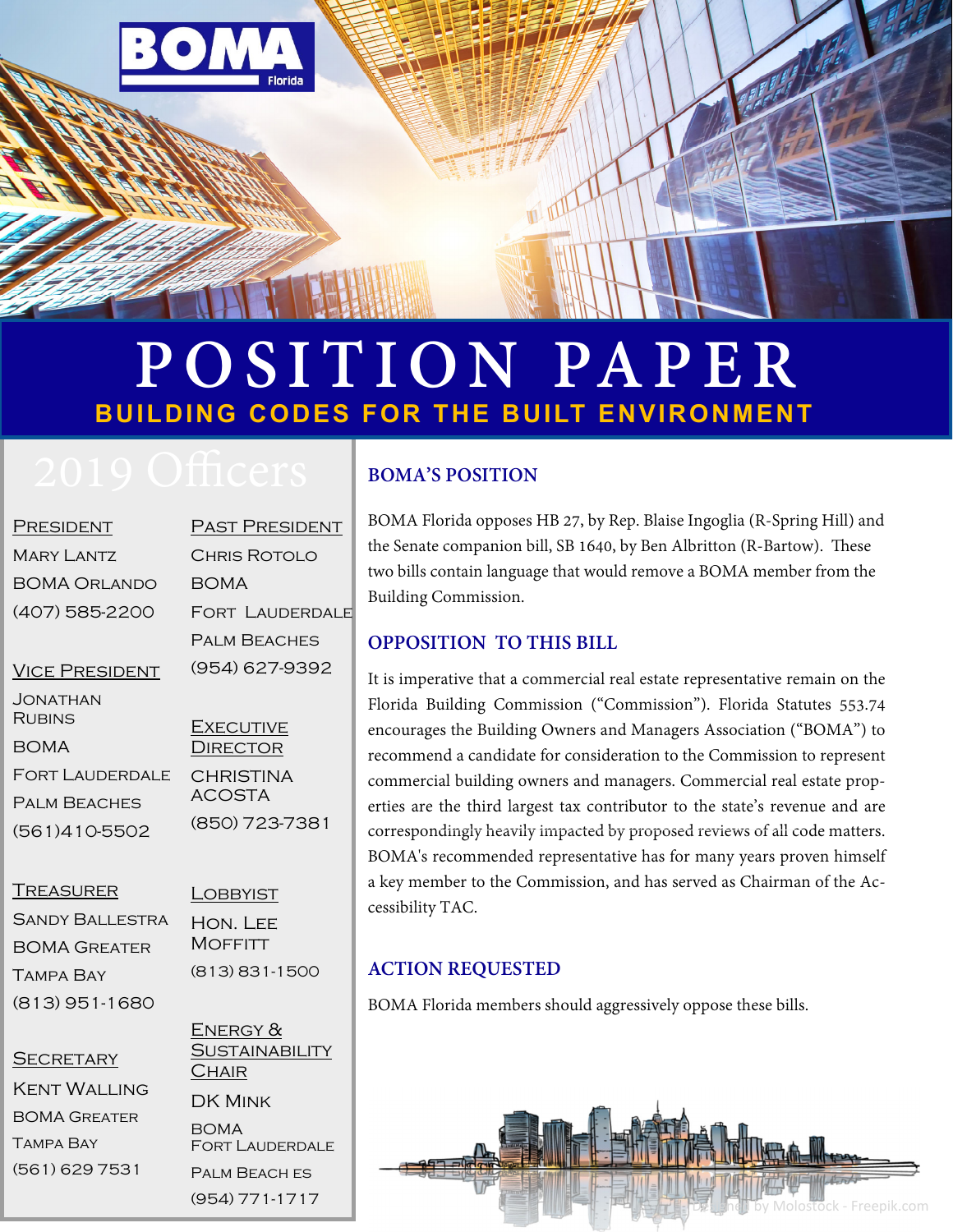

# **POSITION PAPER BUILDING CODES FOR THE BUILT ENVIRONMENT**

| PRESIDENT                 | <b>PAST PRESIDENT</b>             |
|---------------------------|-----------------------------------|
| <b>MARY LANTZ</b>         | CHRIS ROTOLO                      |
| BOMA Orlando              | <b>BOMA</b>                       |
| (407) 585-2200            | FORT LAUDERDALE                   |
|                           | <b>PALM BEACHES</b>               |
| <b>VICE PRESIDENT</b>     | (954) 627-9392                    |
| JONATHAN<br><b>RUBINS</b> | <b>EXECUTIVE</b>                  |
| <b>BOMA</b>               | <b>DIRECTOR</b>                   |
| <b>FORT LAUDERDALE</b>    | <b>CHRISTINA</b><br><b>ACOSTA</b> |
| <b>PALM BEACHES</b>       |                                   |
| (TC)                      | (850) 723-7381                    |

**TREASURER** 

(561)410-5502

Sandy Ballestra BOMA Greater Tampa Bay (813) 951-1680

**LOBBYIST** Hon. Lee **MOFFITT** (813) 831-1500

#### **SECRETARY**

Kent Walling BOMA Greater Tampa Bay (561) 629 7531

ENERGY & **SUSTAINABILITY CHAIR** DK Mink BOMA Fort Lauderdale Palm Beach es

(954) 771-1717

### **BOMA'S POSITION**

BOMA Florida opposes HB 27, by Rep. Blaise Ingoglia (R-Spring Hill) and the Senate companion bill, SB 1640, by Ben Albritton (R-Bartow). These two bills contain language that would remove a BOMA member from the Building Commission.

#### **OPPOSITION TO THIS BILL**

It is imperative that a commercial real estate representative remain on the Florida Building Commission ("Commission"). Florida Statutes 553.74 encourages the Building Owners and Managers Association ("BOMA") to recommend a candidate for consideration to the Commission to represent commercial building owners and managers. Commercial real estate properties are the third largest tax contributor to the state's revenue and are correspondingly heavily impacted by proposed reviews of all code matters. BOMA's recommended representative has for many years proven himself a key member to the Commission, and has served as Chairman of the Accessibility TAC.

#### **ACTION REQUESTED**

BOMA Florida members should aggressively oppose these bills.